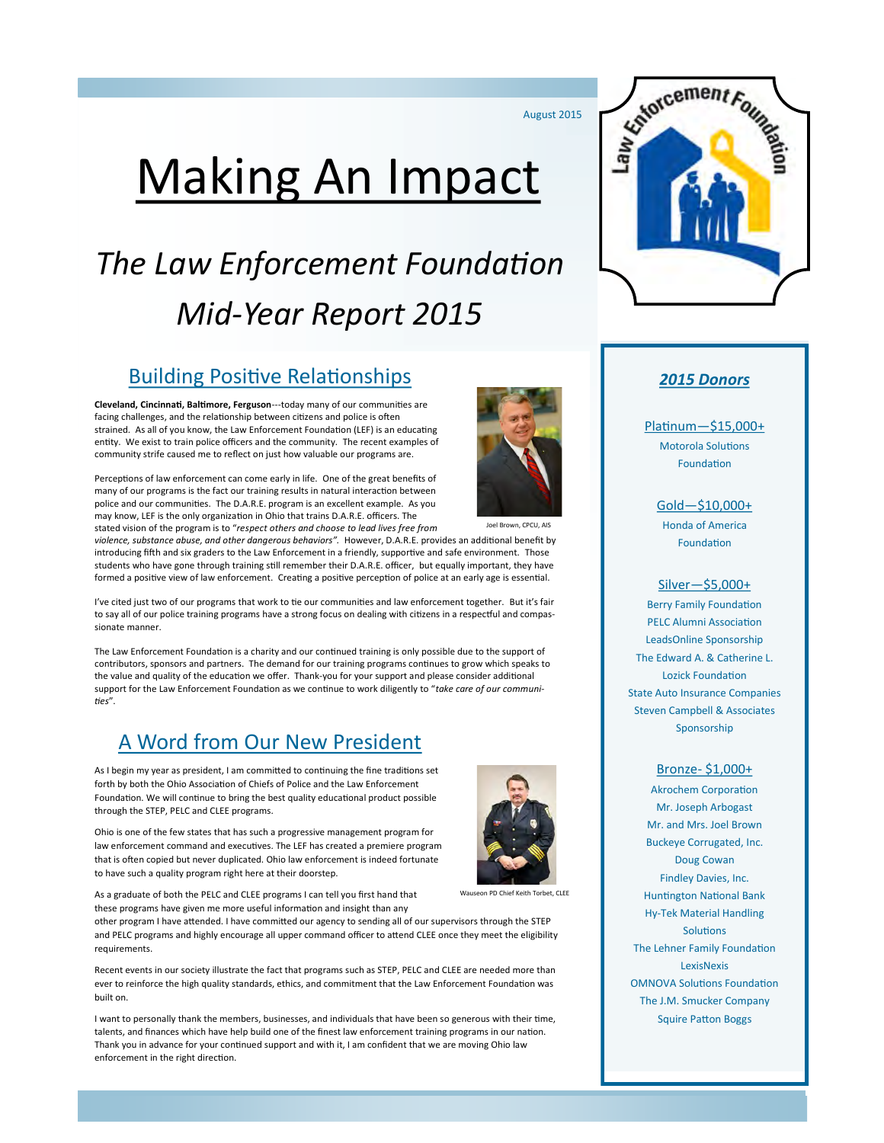August 2015

# Making An Impact

## *The Law Enforcement Foundation Mid-Year Report 2015*

## Building Positive Relationships

**Cleveland, Cincinnati, Baltimore, Ferguson**---today many of our communities are facing challenges, and the relationship between citizens and police is often strained. As all of you know, the Law Enforcement Foundation (LEF) is an educating entity. We exist to train police officers and the community. The recent examples of community strife caused me to reflect on just how valuable our programs are.

Perceptions of law enforcement can come early in life. One of the great benefits of many of our programs is the fact our training results in natural interaction between police and our communities. The D.A.R.E. program is an excellent example. As you may know, LEF is the only organization in Ohio that trains D.A.R.E. officers. The stated vision of the program is to "*respect others and choose to lead lives free from* 



Joel Brown, CPCU, AIS

*violence, substance abuse, and other dangerous behaviors".* However, D.A.R.E. provides an additional benefit by introducing fifth and six graders to the Law Enforcement in a friendly, supportive and safe environment. Those students who have gone through training still remember their D.A.R.E. officer, but equally important, they have formed a positive view of law enforcement. Creating a positive perception of police at an early age is essential.

I've cited just two of our programs that work to tie our communities and law enforcement together. But it's fair to say all of our police training programs have a strong focus on dealing with citizens in a respectful and compassionate manner.

The Law Enforcement Foundation is a charity and our continued training is only possible due to the support of contributors, sponsors and partners. The demand for our training programs continues to grow which speaks to the value and quality of the education we offer. Thank-you for your support and please consider additional support for the Law Enforcement Foundation as we continue to work diligently to "*take care of our communities*".

## A Word from Our New President

As I begin my year as president, I am committed to continuing the fine traditions set forth by both the Ohio Association of Chiefs of Police and the Law Enforcement Foundation. We will continue to bring the best quality educational product possible through the STEP, PELC and CLEE programs.

Ohio is one of the few states that has such a progressive management program for law enforcement command and executives. The LEF has created a premiere program that is often copied but never duplicated. Ohio law enforcement is indeed fortunate to have such a quality program right here at their doorstep.



As a graduate of both the PELC and CLEE programs I can tell you first hand that

these programs have given me more useful information and insight than any other program I have attended. I have committed our agency to sending all of our supervisors through the STEP and PELC programs and highly encourage all upper command officer to attend CLEE once they meet the eligibility requirements.

Recent events in our society illustrate the fact that programs such as STEP, PELC and CLEE are needed more than ever to reinforce the high quality standards, ethics, and commitment that the Law Enforcement Foundation was built on.

I want to personally thank the members, businesses, and individuals that have been so generous with their time, talents, and finances which have help build one of the finest law enforcement training programs in our nation. Thank you in advance for your continued support and with it, I am confident that we are moving Ohio law enforcement in the right direction.



#### *2015 Donors*

Platinum—\$15,000+

Motorola Solutions Foundation

Gold—\$10,000+

Honda of America Foundation

#### Silver—\$5,000+

Berry Family Foundation PELC Alumni Association LeadsOnline Sponsorship The Edward A. & Catherine L. Lozick Foundation State Auto Insurance Companies Steven Campbell & Associates Sponsorship

#### Bronze- \$1,000+

Akrochem Corporation Mr. Joseph Arbogast Mr. and Mrs. Joel Brown Buckeye Corrugated, Inc. Doug Cowan Findley Davies, Inc. Huntington National Bank Hy-Tek Material Handling **Solutions** The Lehner Family Foundation LexisNexis OMNOVA Solutions Foundation The J.M. Smucker Company Squire Patton Boggs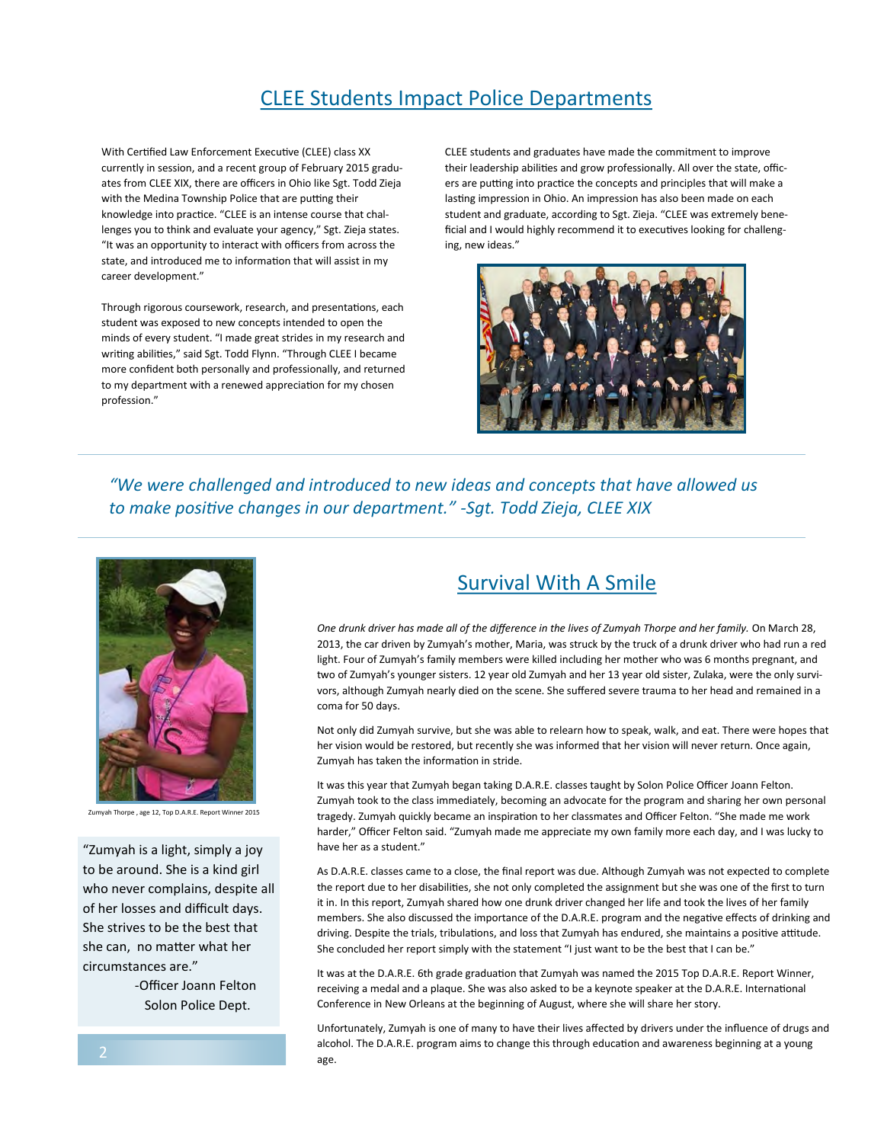## CLEE Students Impact Police Departments

With Certified Law Enforcement Executive (CLEE) class XX currently in session, and a recent group of February 2015 graduates from CLEE XIX, there are officers in Ohio like Sgt. Todd Zieja with the Medina Township Police that are putting their knowledge into practice. "CLEE is an intense course that challenges you to think and evaluate your agency," Sgt. Zieja states. "It was an opportunity to interact with officers from across the state, and introduced me to information that will assist in my career development."

Through rigorous coursework, research, and presentations, each student was exposed to new concepts intended to open the minds of every student. "I made great strides in my research and writing abilities," said Sgt. Todd Flynn. "Through CLEE I became more confident both personally and professionally, and returned to my department with a renewed appreciation for my chosen profession."

CLEE students and graduates have made the commitment to improve their leadership abilities and grow professionally. All over the state, officers are putting into practice the concepts and principles that will make a lasting impression in Ohio. An impression has also been made on each student and graduate, according to Sgt. Zieja. "CLEE was extremely beneficial and I would highly recommend it to executives looking for challenging, new ideas."



*"We were challenged and introduced to new ideas and concepts that have allowed us to make positive changes in our department." -Sgt. Todd Zieja, CLEE XIX*



Zumyah Thorpe , age 12, Top D.A.R.E. Report Winner 2015

"Zumyah is a light, simply a joy to be around. She is a kind girl who never complains, despite all of her losses and difficult days. She strives to be the best that she can, no matter what her circumstances are."

> -Officer Joann Felton Solon Police Dept.

## Survival With A Smile

*One drunk driver has made all of the difference in the lives of Zumyah Thorpe and her family.* On March 28, 2013, the car driven by Zumyah's mother, Maria, was struck by the truck of a drunk driver who had run a red light. Four of Zumyah's family members were killed including her mother who was 6 months pregnant, and two of Zumyah's younger sisters. 12 year old Zumyah and her 13 year old sister, Zulaka, were the only survivors, although Zumyah nearly died on the scene. She suffered severe trauma to her head and remained in a coma for 50 days.

Not only did Zumyah survive, but she was able to relearn how to speak, walk, and eat. There were hopes that her vision would be restored, but recently she was informed that her vision will never return. Once again, Zumyah has taken the information in stride.

It was this year that Zumyah began taking D.A.R.E. classes taught by Solon Police Officer Joann Felton. Zumyah took to the class immediately, becoming an advocate for the program and sharing her own personal tragedy. Zumyah quickly became an inspiration to her classmates and Officer Felton. "She made me work harder," Officer Felton said. "Zumyah made me appreciate my own family more each day, and I was lucky to have her as a student."

As D.A.R.E. classes came to a close, the final report was due. Although Zumyah was not expected to complete the report due to her disabilities, she not only completed the assignment but she was one of the first to turn it in. In this report, Zumyah shared how one drunk driver changed her life and took the lives of her family members. She also discussed the importance of the D.A.R.E. program and the negative effects of drinking and driving. Despite the trials, tribulations, and loss that Zumyah has endured, she maintains a positive attitude. She concluded her report simply with the statement "I just want to be the best that I can be."

It was at the D.A.R.E. 6th grade graduation that Zumyah was named the 2015 Top D.A.R.E. Report Winner, receiving a medal and a plaque. She was also asked to be a keynote speaker at the D.A.R.E. International Conference in New Orleans at the beginning of August, where she will share her story.

Unfortunately, Zumyah is one of many to have their lives affected by drivers under the influence of drugs and alcohol. The D.A.R.E. program aims to change this through education and awareness beginning at a young age.